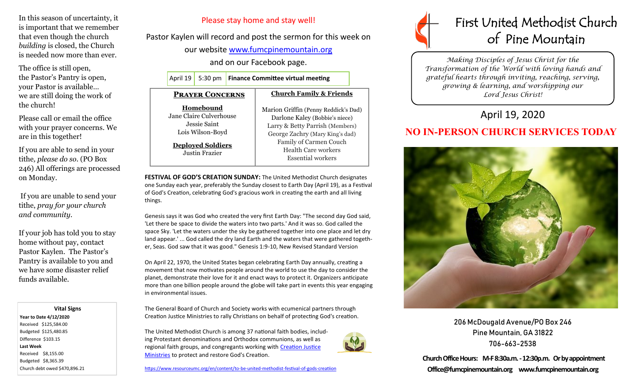In this season of uncertainty, it is important that we remember that even though the church *building* is closed, the Church is needed now more than ever.

The office is still open, the Pastor's Pantry is open, your Pastor is available… we are still doing the work of the church!

Please call or email the office with your prayer concerns. We are in this together!

If you are able to send in your tithe*, please do so*. (PO Box 246) All offerings are processed on Monday.

If you are unable to send your tithe, *pray for your church and community*.

If your job has told you to stay home without pay, contact Pastor Kaylen. The Pastor's Pantry is available to you and we have some disaster relief funds available.

 **Vital Signs Year to Date 4/12/2020**  Received \$125,584.00 Budgeted \$125,480.85 Difference \$103.15 **Last Week**  Received \$8,155.00 Budgeted \$8,365.39 Church debt owed \$470,896.21

## Please stay home and stay well!

Pastor Kaylen will record and post the sermon for this week on

our website [www.fumcpinemountain.org](http://www.fumcpinemountain.org)

and on our Facebook page.

April 19 5:30 pm **Finance Committee virtual meeting** 

## **Church Family & Friends**

**Homebound** Jane Claire Culverhouse Jessie Saint Lois Wilson-Boyd

**Deployed Soldiers** Justin Frazier

 **Prayer Concerns**

Marion Griffin (Penny Reddick's Dad) Darlone Kaley (Bobbie's niece) Larry & Betty Parrish (Members) George Zachry (Mary King's dad) Family of Carmen Couch Health Care workers Essential workers

**FESTIVAL OF GOD'S CREATION SUNDAY:** The United Methodist Church designates one Sunday each year, preferably the Sunday closest to Earth Day (April 19), as a Festival of God's Creation, celebrating God's gracious work in creating the earth and all living things.

Genesis says it was God who created the very first Earth Day: "The second day God said, 'Let there be space to divide the waters into two parts.' And it was so. God called the space Sky. 'Let the waters under the sky be gathered together into one place and let dry land appear.' ... God called the dry land Earth and the waters that were gathered together, Seas. God saw that it was good." Genesis 1:9-10, New Revised Standard Version

On April 22, 1970, the United States began celebrating Earth Day annually, creating a movement that now motivates people around the world to use the day to consider the planet, demonstrate their love for it and enact ways to protect it. Organizers anticipate more than one billion people around the globe will take part in events this year engaging in environmental issues.

The General Board of Church and Society works with ecumenical partners through Creation Justice Ministries to rally Christians on behalf of protecting God's creation.

The United Methodist Church is among 37 national faith bodies, including Protestant denominations and Orthodox communions, as well as regional faith groups, and congregants working with [Creation Justice](http://www.creationjustice.org/)  [Ministries](http://www.creationjustice.org/) to protect and restore God's Creation.

[https://www.resourceumc.org/en/content/to](https://www.resourceumc.org/en/content/to-be-united-methodist-festival-of-gods-creatiion)-be-united-methodist-festival-of-gods-creatiion



*Making Disciples of Jesus Christ for the Transformation of the World with loving hands and grateful hearts through inviting, reaching, serving, growing & learning, and worshipping our Lord Jesus Christ!* 

## April 19, 2020

## **NO IN-PERSON CHURCH SERVICES TODAY**



206 McDougald Avenue/PO Box 246 Pine Mountain, GA 31822 706-663-2538

**Church Office Hours: M-F 8:30a.m. -12:30p.m. Or by appointment Office@fumcpinemountain.org www.fumcpinemountain.org**